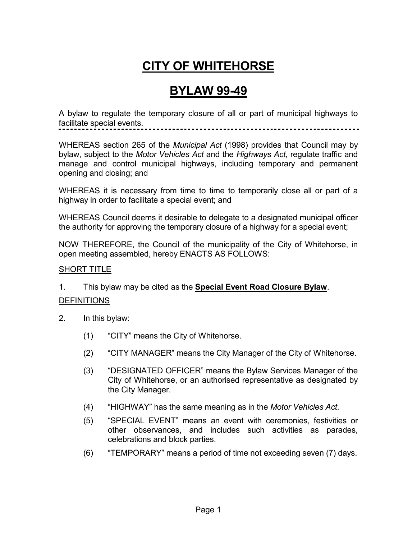# **CITY OF WHITEHORSE**

## **BYLAW 99-49**

A bylaw to regulate the temporary closure of all or part of municipal highways to facilitate special events.

WHEREAS section 265 of the *Municipal Act* (1998) provides that Council may by bylaw, subject to the *Motor Vehicles Act* and the *Highways Act,* regulate traffic and manage and control municipal highways, including temporary and permanent opening and closing; and

WHEREAS it is necessary from time to time to temporarily close all or part of a highway in order to facilitate a special event; and

WHEREAS Council deems it desirable to delegate to a designated municipal officer the authority for approving the temporary closure of a highway for a special event;

NOW THEREFORE, the Council of the municipality of the City of Whitehorse, in open meeting assembled, hereby ENACTS AS FOLLOWS:

#### SHORT TITLE

1. This bylaw may be cited as the **Special Event Road Closure Bylaw**.

### **DEFINITIONS**

- 2. In this bylaw:
	- (1) "CITY" means the City of Whitehorse.
	- (2) "CITY MANAGER" means the City Manager of the City of Whitehorse.
	- (3) "DESIGNATED OFFICER" means the Bylaw Services Manager of the City of Whitehorse, or an authorised representative as designated by the City Manager.
	- (4) "HIGHWAY" has the same meaning as in the *Motor Vehicles Act*.
	- (5) "SPECIAL EVENT" means an event with ceremonies, festivities or other observances, and includes such activities as parades, celebrations and block parties.
	- (6) "TEMPORARY" means a period of time not exceeding seven (7) days.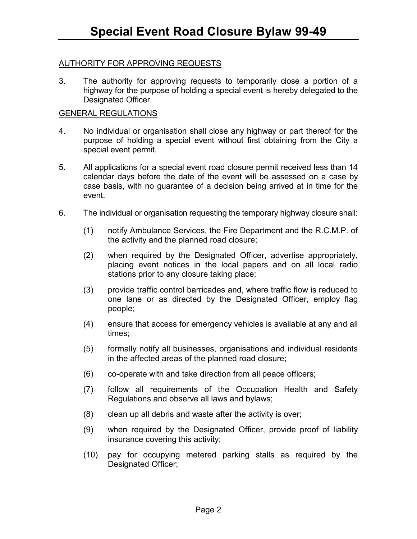### AUTHORITY FOR APPROVING REQUESTS

3. The authority for approving requests to temporarily close a portion of a highway for the purpose of holding a special event is hereby delegated to the Designated Officer.

#### GENERAL REGULATIONS

- 4. No individual or organisation shall close any highway or part thereof for the purpose of holding a special event without first obtaining from the City a special event permit.
- 5. All applications for a special event road closure permit received less than 14 calendar days before the date of the event will be assessed on a case by case basis, with no guarantee of a decision being arrived at in time for the event.
- 6. The individual or organisation requesting the temporary highway closure shall:
	- (1) notify Ambulance Services, the Fire Department and the R.C.M.P. of the activity and the planned road closure;
	- (2) when required by the Designated Officer, advertise appropriately, placing event notices in the local papers and on all local radio stations prior to any closure taking place;
	- (3) provide traffic control barricades and, where traffic flow is reduced to one lane or as directed by the Designated Officer, employ flag people;
	- (4) ensure that access for emergency vehicles is available at any and all times;
	- (5) formally notify all businesses, organisations and individual residents in the affected areas of the planned road closure;
	- (6) co-operate with and take direction from all peace officers;
	- (7) follow all requirements of the Occupation Health and Safety Regulations and observe all laws and bylaws;
	- (8) clean up all debris and waste after the activity is over;
	- (9) when required by the Designated Officer, provide proof of liability insurance covering this activity;
	- (10) pay for occupying metered parking stalls as required by the Designated Officer;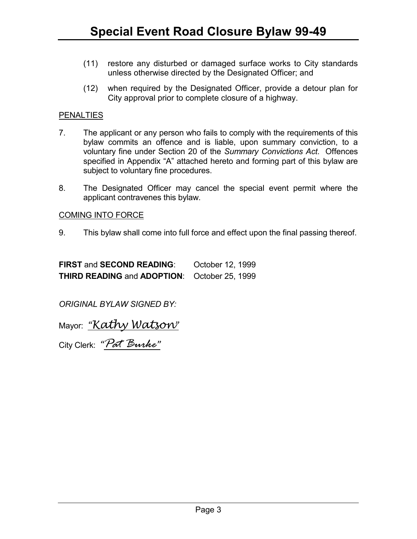- (11) restore any disturbed or damaged surface works to City standards unless otherwise directed by the Designated Officer; and
- (12) when required by the Designated Officer, provide a detour plan for City approval prior to complete closure of a highway.

### PENALTIES

- 7. The applicant or any person who fails to comply with the requirements of this bylaw commits an offence and is liable, upon summary conviction, to a voluntary fine under Section 20 of the *Summary Convictions Act*. Offences specified in Appendix "A" attached hereto and forming part of this bylaw are subject to voluntary fine procedures.
- 8. The Designated Officer may cancel the special event permit where the applicant contravenes this bylaw.

### COMING INTO FORCE

9. This bylaw shall come into full force and effect upon the final passing thereof.

**FIRST** and **SECOND READING**: October 12, 1999 **THIRD READING** and **ADOPTION**: October 25, 1999

*ORIGINAL BYLAW SIGNED BY:* 

Mayor: <u>"Kathy Watsow"</u>

City Clerk: "*Pat Burke*"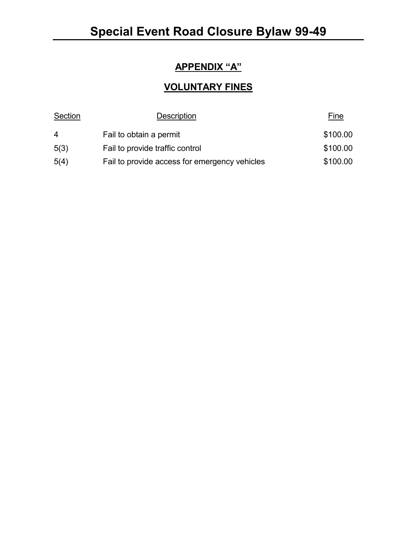## **APPENDIX "A"**

## **VOLUNTARY FINES**

| Section        | Description                                   | <u>Fine</u> |
|----------------|-----------------------------------------------|-------------|
| $\overline{4}$ | Fail to obtain a permit                       | \$100.00    |
| 5(3)           | Fail to provide traffic control               | \$100.00    |
| 5(4)           | Fail to provide access for emergency vehicles | \$100.00    |